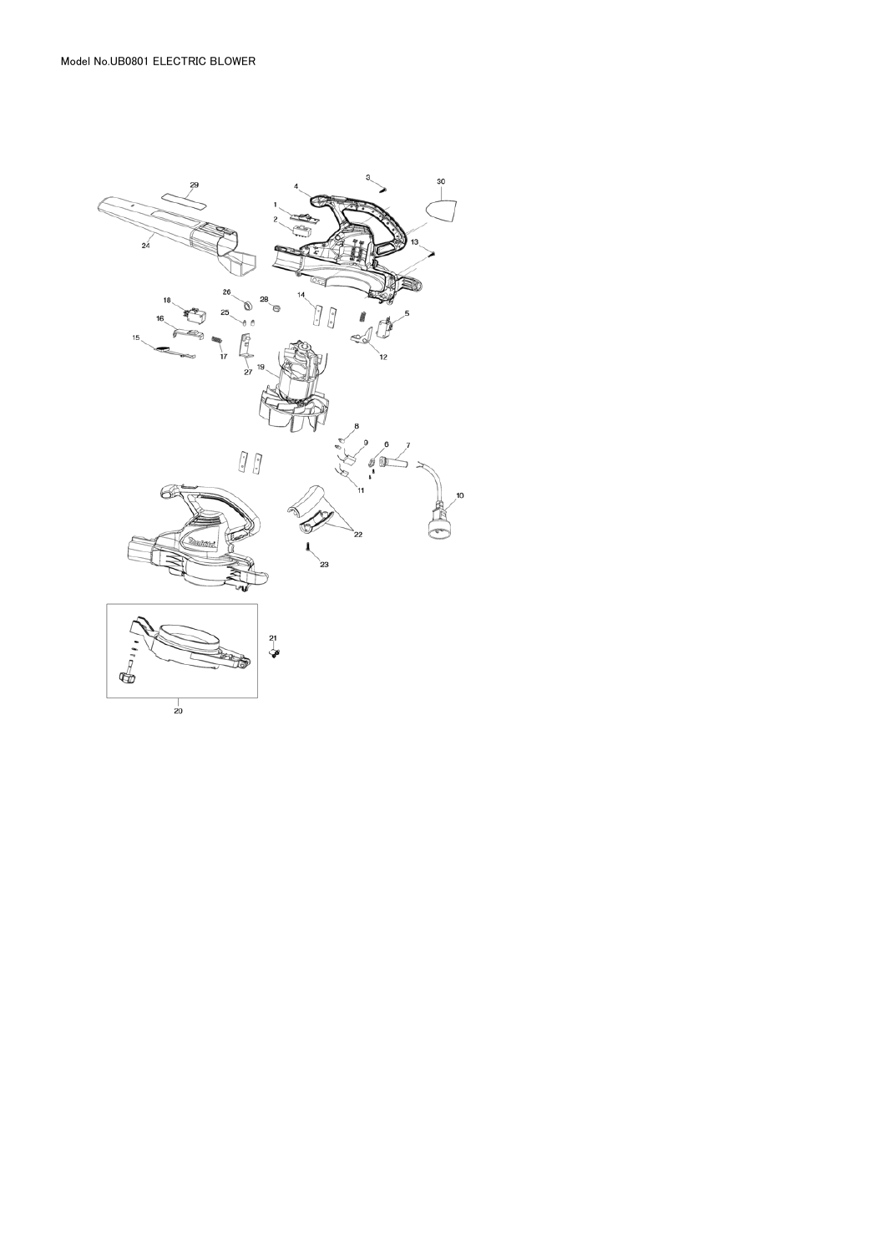Model No.UB0801 ELECTRIC BLOWER